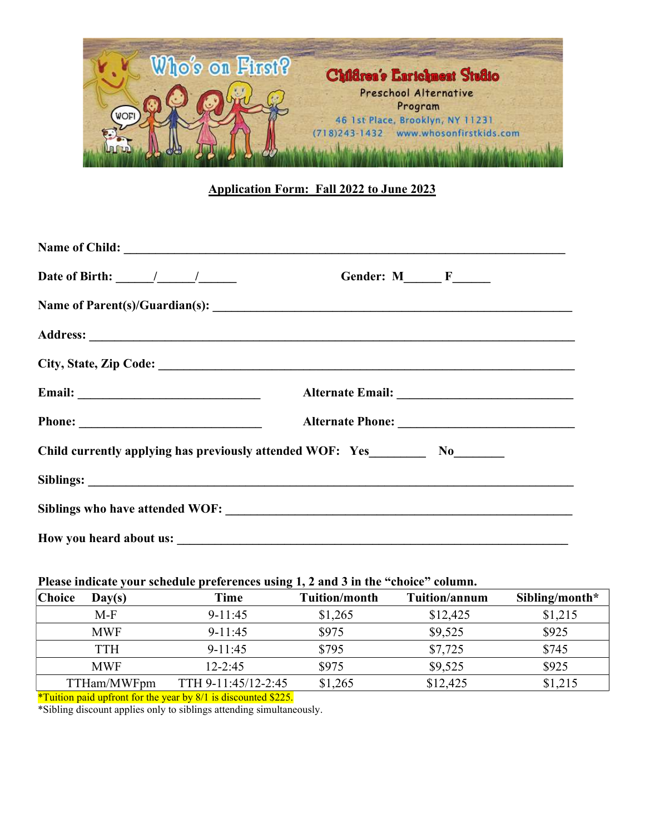

## Application Form: Fall 2022 to June 2023

| Name of Child:                                                                                                                                                                                                                                                                                                                                                                                                                              |                          |
|---------------------------------------------------------------------------------------------------------------------------------------------------------------------------------------------------------------------------------------------------------------------------------------------------------------------------------------------------------------------------------------------------------------------------------------------|--------------------------|
| Date of Birth: $\frac{1}{\frac{1}{2} \cdot \frac{1}{2} \cdot \frac{1}{2} \cdot \frac{1}{2} \cdot \frac{1}{2} \cdot \frac{1}{2} \cdot \frac{1}{2} \cdot \frac{1}{2} \cdot \frac{1}{2} \cdot \frac{1}{2} \cdot \frac{1}{2} \cdot \frac{1}{2} \cdot \frac{1}{2} \cdot \frac{1}{2} \cdot \frac{1}{2} \cdot \frac{1}{2} \cdot \frac{1}{2} \cdot \frac{1}{2} \cdot \frac{1}{2} \cdot \frac{1}{2} \cdot \frac{1}{2} \cdot \frac{1}{2} \cdot \frac$ | Gender: $M$ $F$ $\qquad$ |
|                                                                                                                                                                                                                                                                                                                                                                                                                                             |                          |
|                                                                                                                                                                                                                                                                                                                                                                                                                                             |                          |
|                                                                                                                                                                                                                                                                                                                                                                                                                                             |                          |
|                                                                                                                                                                                                                                                                                                                                                                                                                                             |                          |
|                                                                                                                                                                                                                                                                                                                                                                                                                                             |                          |
|                                                                                                                                                                                                                                                                                                                                                                                                                                             |                          |
|                                                                                                                                                                                                                                                                                                                                                                                                                                             |                          |
|                                                                                                                                                                                                                                                                                                                                                                                                                                             |                          |
|                                                                                                                                                                                                                                                                                                                                                                                                                                             |                          |

## Please indicate your schedule preferences using 1, 2 and 3 in the "choice" column.

| <b>Choice</b> | Day(s)      | Time                | <b>Tuition/month</b> | Tuition/annum | Sibling/month* |
|---------------|-------------|---------------------|----------------------|---------------|----------------|
|               | $M-F$       | $9 - 11:45$         | \$1,265              | \$12,425      | \$1,215        |
|               | <b>MWF</b>  | $9 - 11:45$         | \$975                | \$9,525       | \$925          |
|               | TTH         | $9-11:45$           | \$795                | \$7,725       | \$745          |
|               | <b>MWF</b>  | $12 - 2:45$         | \$975                | \$9,525       | \$925          |
|               | TTHam/MWFpm | TTH 9-11:45/12-2:45 | \$1,265              | \$12,425      | \$1,215        |

\*Tuition paid upfront for the year by 8/1 is discounted \$225.

\*Sibling discount applies only to siblings attending simultaneously.